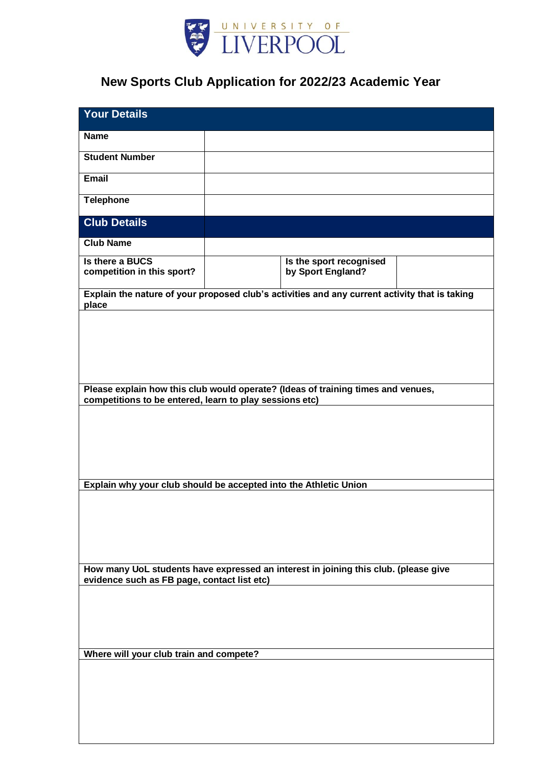

## **New Sports Club Application for 2022/23 Academic Year**

| <b>Your Details</b>                                                                                    |                                              |  |
|--------------------------------------------------------------------------------------------------------|----------------------------------------------|--|
| <b>Name</b>                                                                                            |                                              |  |
| <b>Student Number</b>                                                                                  |                                              |  |
| Email                                                                                                  |                                              |  |
| <b>Telephone</b>                                                                                       |                                              |  |
| <b>Club Details</b>                                                                                    |                                              |  |
| <b>Club Name</b>                                                                                       |                                              |  |
| Is there a BUCS<br>competition in this sport?                                                          | Is the sport recognised<br>by Sport England? |  |
| Explain the nature of your proposed club's activities and any current activity that is taking<br>place |                                              |  |
|                                                                                                        |                                              |  |
|                                                                                                        |                                              |  |
|                                                                                                        |                                              |  |
| Please explain how this club would operate? (Ideas of training times and venues,                       |                                              |  |
| competitions to be entered, learn to play sessions etc)                                                |                                              |  |
|                                                                                                        |                                              |  |
|                                                                                                        |                                              |  |
|                                                                                                        |                                              |  |
| Explain why your club should be accepted into the Athletic Union                                       |                                              |  |
|                                                                                                        |                                              |  |
|                                                                                                        |                                              |  |
|                                                                                                        |                                              |  |
| How many UoL students have expressed an interest in joining this club. (please give                    |                                              |  |
| evidence such as FB page, contact list etc)                                                            |                                              |  |
|                                                                                                        |                                              |  |
|                                                                                                        |                                              |  |
| Where will your club train and compete?                                                                |                                              |  |
|                                                                                                        |                                              |  |
|                                                                                                        |                                              |  |
|                                                                                                        |                                              |  |